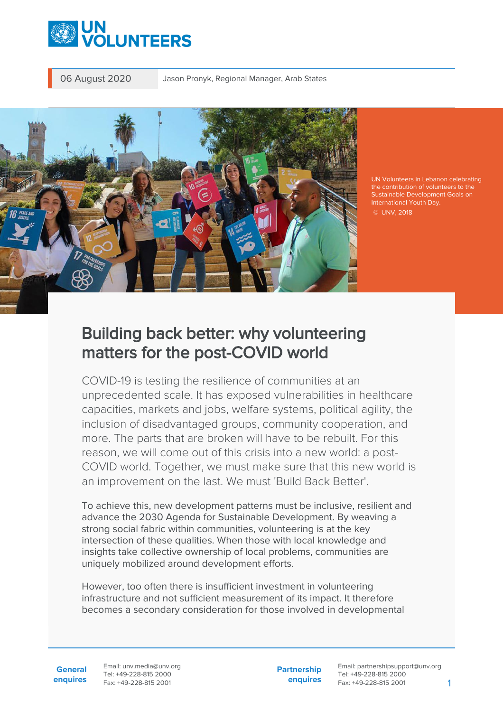



UN Volunteers in Lebanon celebrating the contribution of volunteers to the Sustainable Development Goals on International Youth Day. © UNV, 2018

## Building back better: why volunteering matters for the post-COVID world

COVID-19 is testing the resilience of communities at an unprecedented scale. It has exposed vulnerabilities in healthcare capacities, markets and jobs, welfare systems, political agility, the inclusion of disadvantaged groups, community cooperation, and more. The parts that are broken will have to be rebuilt. For this reason, we will come out of this crisis into a new world: a post-COVID world. Together, we must make sure that this new world is an improvement on the last. We must 'Build Back Better'.

To achieve this, new development patterns must be inclusive, resilient and advance the 2030 Agenda for Sustainable Development. By weaving a strong social fabric within communities, volunteering is at the key intersection of these qualities. When those with local knowledge and insights take collective ownership of local problems, communities are uniquely mobilized around development efforts.

However, too often there is insufficient investment in volunteering infrastructure and not sufficient measurement of its impact. It therefore becomes a secondary consideration for those involved in developmental

**General enquires** Email: unv.media@unv.org Tel: +49-228-815 2000 Fax: +49-228-815 2001

**Partnership enquires** Email: partnershipsupport@unv.org Tel: +49-228-815 2000 Fax: +49-228-815 2001 1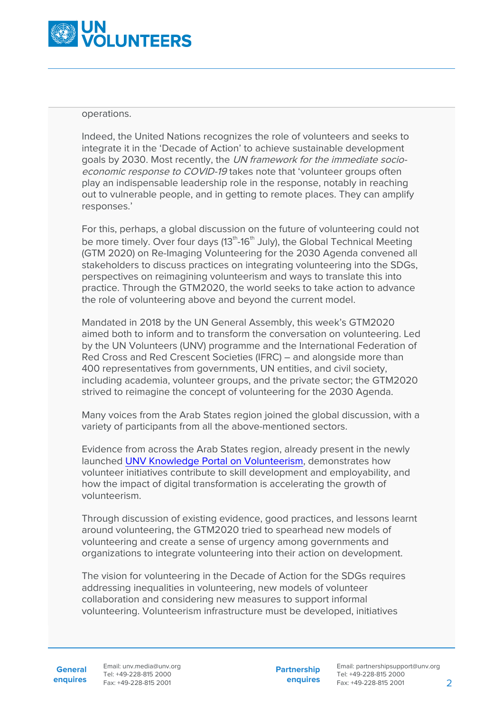

## operations.

Indeed, the United Nations recognizes the role of volunteers and seeks to integrate it in the 'Decade of Action' to achieve sustainable development goals by 2030. Most recently, the UN framework for the immediate socioeconomic response to COVID-19 takes note that 'volunteer groups often play an indispensable leadership role in the response, notably in reaching out to vulnerable people, and in getting to remote places. They can amplify responses.'

For this, perhaps, a global discussion on the future of volunteering could not be more timely. Over four days  $(13<sup>th</sup>-16<sup>th</sup>$  July), the Global Technical Meeting (GTM 2020) on Re-Imaging Volunteering for the 2030 Agenda convened all stakeholders to discuss practices on integrating volunteering into the SDGs, perspectives on reimagining volunteerism and ways to translate this into practice. Through the GTM2020, the world seeks to take action to advance the role of volunteering above and beyond the current model.

Mandated in 2018 by the UN General Assembly, this week's GTM2020 aimed both to inform and to transform the conversation on volunteering. Led by the UN Volunteers (UNV) programme and the International Federation of Red Cross and Red Crescent Societies (IFRC) – and alongside more than 400 representatives from governments, UN entities, and civil society, including academia, volunteer groups, and the private sector; the GTM2020 strived to reimagine the concept of volunteering for the 2030 Agenda.

Many voices from the Arab States region joined the global discussion, with a variety of participants from all the above-mentioned sectors.

Evidence from across the Arab States region, already present in the newly launched [UNV Knowledge Portal on Volunteerism,](http://knowledge.unv.org/) demonstrates how volunteer initiatives contribute to skill development and employability, and how the impact of digital transformation is accelerating the growth of volunteerism.

Through discussion of existing evidence, good practices, and lessons learnt around volunteering, the GTM2020 tried to spearhead new models of volunteering and create a sense of urgency among governments and organizations to integrate volunteering into their action on development.

The vision for volunteering in the Decade of Action for the SDGs requires addressing inequalities in volunteering, new models of volunteer collaboration and considering new measures to support informal volunteering. Volunteerism infrastructure must be developed, initiatives